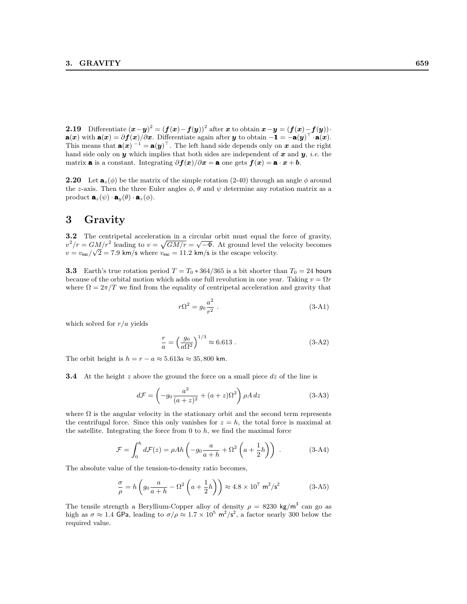2.19 Differentiate  $(x-y)^2 = (f(x)-f(y))^2$  after x to obtain  $x-y = (f(x)-f(y))$ .  $\mathbf{a}(x)$  with  $\mathbf{a}(x) = \partial f(x)/\partial x$ . Differentiate again after y to obtain  $-\mathbf{1} = -\mathbf{a}(y)^\top \cdot \mathbf{a}(x)$ . This means that  $\mathbf{a}(x)$ <sup>-1</sup> =  $\mathbf{a}(y)$ <sup>T</sup>. The left hand side depends only on x and the right hand side only on y which implies that both sides are independent of x and y, *i.e.* the matrix **a** is a constant. Integrating  $\partial f(x)/\partial x = \mathbf{a}$  one gets  $f(x) = \mathbf{a} \cdot x + \mathbf{b}$ .

**2.20** Let  $\mathbf{a}_z(\phi)$  be the matrix of the simple rotation (2-40) through an angle  $\phi$  around the z-axis. Then the three Euler angles  $\phi$ ,  $\theta$  and  $\psi$  determine any rotation matrix as a product  $\mathbf{a}_z(\psi) \cdot \mathbf{a}_y(\theta) \cdot \mathbf{a}_z(\phi)$ .

## 3 Gravity

3.2 The centripetal acceleration in a circular orbit must equal the force of gravity,  $v^2/r = GM/r^2$  leading to  $v = \sqrt{GM/r} = \sqrt{-\Phi}$ . At ground level the velocity becomes  $v = v_{\text{esc}}/\sqrt{2} = 7.9 \text{ km/s}$  where  $v_{\text{esc}} = 11.2 \text{ km/s}$  is the escape velocity.

**3.3** Earth's true rotation period  $T = T_0 \times 364/365$  is a bit shorter than  $T_0 = 24$  hours because of the orbital motion which adds one full revolution in one year. Taking  $v = \Omega r$ where  $\Omega = 2\pi/T$  we find from the equality of centripetal acceleration and gravity that

$$
r\Omega^2 = g_0 \frac{a^2}{r^2} \ . \tag{3-A1}
$$

which solved for  $r/a$  yields

$$
\frac{r}{a} = \left(\frac{g_0}{a\Omega^2}\right)^{1/3} \approx 6.613 . \tag{3-A2}
$$

The orbit height is  $h = r - a \approx 5.613a \approx 35,800$  km.

**3.4** At the height z above the ground the force on a small piece dz of the line is

$$
d\mathcal{F} = \left(-g_0 \frac{a^2}{(a+z)^2} + (a+z)\Omega^2\right)\rho A \, dz \tag{3-A3}
$$

where  $\Omega$  is the angular velocity in the stationary orbit and the second term represents the centrifugal force. Since this only vanishes for  $z = h$ , the total force is maximal at the satellite. Integrating the force from  $0$  to  $h$ , we find the maximal force

$$
\mathcal{F} = \int_0^h d\mathcal{F}(z) = \rho Ah \left( -g_0 \frac{a}{a+h} + \Omega^2 \left( a + \frac{1}{2}h \right) \right) . \tag{3-A4}
$$

The absolute value of the tension-to-density ratio becomes,

$$
\frac{\sigma}{\rho} = h \left( g_0 \frac{a}{a+h} - \Omega^2 \left( a + \frac{1}{2} h \right) \right) \approx 4.8 \times 10^7 \text{ m}^2/\text{s}^2 \tag{3-A5}
$$

The tensile strength a Beryllium-Copper alloy of density  $\rho = 8230 \text{ kg/m}^3$  can go as high as  $\sigma \approx 1.4$  GPa, leading to  $\sigma/\rho \approx 1.7 \times 10^5$  m<sup>2</sup>/s<sup>2</sup>, a factor nearly 300 below the required value.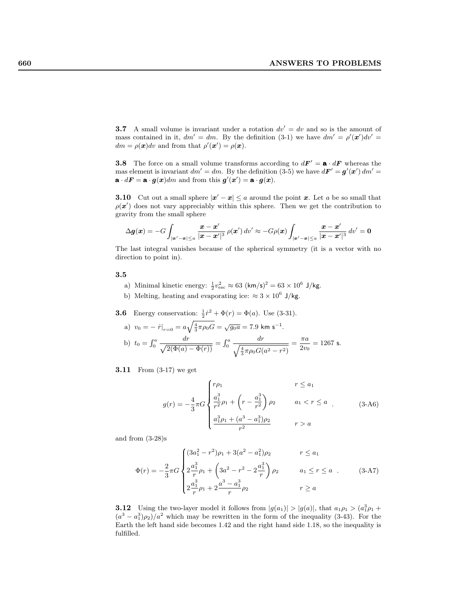**3.7** A small volume is invariant under a rotation  $dv' = dv$  and so is the amount of mass contained in it,  $dm' = dm$ . By the definition (3-1) we have  $dm' = \rho'(\mathbf{x}')dv' =$  $dm = \rho(\mathbf{x})dv$  and from that  $\rho'(\mathbf{x}') = \rho(\mathbf{x})$ .

**3.8** The force on a small volume transforms according to  $dF' = \mathbf{a} \cdot dF$  whereas the mas element is invariant  $dm' = dm$ . By the definition (3-5) we have  $d\mathbf{F}' = \mathbf{g}'(\mathbf{x}') dm' =$  $\mathbf{a} \cdot d\mathbf{F} = \mathbf{a} \cdot \mathbf{g}(\mathbf{x})dm$  and from this  $\mathbf{g}'(\mathbf{x}') = \mathbf{a} \cdot \mathbf{g}(\mathbf{x})$ .

**3.10** Cut out a small sphere  $|x'-x| \le a$  around the point x. Let a be so small that  $\rho(\boldsymbol{x}')$  does not vary appreciably within this sphere. Then we get the contribution to gravity from the small sphere

$$
\Delta g(x) = -G \int_{|\mathbf{x}'-\mathbf{x}| \le a} \frac{x - x'}{|x - x'|^3} \, \rho(x') \, dv' \approx -G \rho(x) \int_{|\mathbf{x}'-\mathbf{x}| \le a} \frac{x - x'}{|x - x'|^3} \, dv' = 0
$$

The last integral vanishes because of the spherical symmetry (it is a vector with no direction to point in).

## 3.5

- a) Minimal kinetic energy:  $\frac{1}{2}v_{\text{esc}}^2 \approx 63 \text{ (km/s)}^2 = 63 \times 10^6 \text{ J/kg}.$
- b) Melting, heating and evaporating ice:  $\approx 3 \times 10^6$  J/kg.
- **3.6** Energy conservation:  $\frac{1}{2}\dot{r}^2 + \Phi(r) = \Phi(a)$ . Use (3-31).

a) 
$$
v_0 = - \dot{r}|_{r=0} = a \sqrt{\frac{4}{3} \pi \rho_0 G} = \sqrt{g_0 a} = 7.9 \text{ km s}^{-1}.
$$
  
b)  $t_0 = \int_0^a \frac{dr}{\sqrt{2(\Phi(a) - \Phi(r))}} = \int_0^a \frac{dr}{\sqrt{\frac{4}{3} \pi \rho_0 G(a^2 - r^2)}} = \frac{\pi a}{2v_0} = 1267 \text{ s}.$ 

**3.11** From (3-17) we get

$$
g(r) = -\frac{4}{3}\pi G \begin{cases} r\rho_1 & r \le a_1 \\ \frac{a_1^3}{r^2}\rho_1 + \left(r - \frac{a_1^3}{r^2}\right)\rho_2 & a_1 < r \le a \\ \frac{a_1^3 \rho_1 + (a^3 - a_1^3)\rho_2}{r^2} & r > a \end{cases}
$$
 (3-A6)

and from (3-28)s

$$
\Phi(r) = -\frac{2}{3}\pi G \begin{cases}\n(3a_1^2 - r^2)\rho_1 + 3(a^2 - a_1^2)\rho_2 & r \le a_1 \\
2\frac{a_1^3}{r}\rho_1 + \left(3a^2 - r^2 - 2\frac{a_1^3}{r}\right)\rho_2 & a_1 \le r \le a \\
2\frac{a_1^3}{r}\rho_1 + 2\frac{a^3 - a_1^3}{r}\rho_2 & r \ge a\n\end{cases}
$$
\n(3-A7)

**3.12** Using the two-layer model it follows from  $|g(a_1)| > |g(a)|$ , that  $a_1 \rho_1 > (a_1^3 \rho_1 + a_2^3 \rho_2)$  $(a^{3} - a_{1}^{3})\rho_{2})/a^{2}$  which may be rewritten in the form of the inequality (3-43). For the Earth the left hand side becomes 1.42 and the right hand side 1.18, so the inequality is fulfilled.